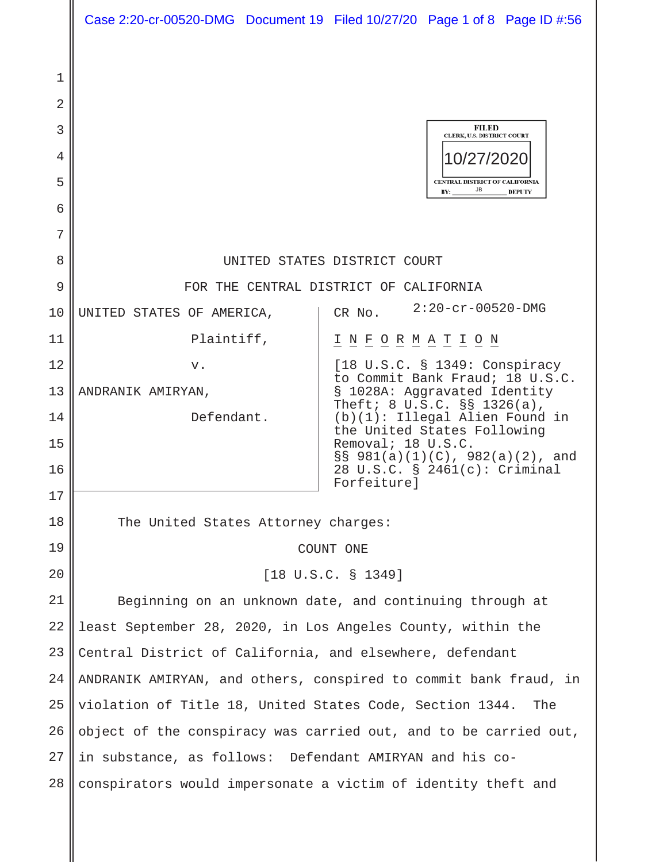|                       | Case 2:20-cr-00520-DMG Document 19 Filed 10/27/20 Page 1 of 8 Page ID #:56                                                   |                                                                                                                                                    |                                                                                                                |               |  |
|-----------------------|------------------------------------------------------------------------------------------------------------------------------|----------------------------------------------------------------------------------------------------------------------------------------------------|----------------------------------------------------------------------------------------------------------------|---------------|--|
| 1<br>2<br>3<br>4<br>5 |                                                                                                                              |                                                                                                                                                    | FILED<br><b>CLERK, U.S. DISTRICT COURT</b><br>10/27/2020<br><b>CENTRAL DISTRICT OF CALIFORNIA</b><br>JB<br>BY: | <b>DEPUTY</b> |  |
| 6<br>7                |                                                                                                                              |                                                                                                                                                    |                                                                                                                |               |  |
| 8                     | UNITED STATES DISTRICT COURT                                                                                                 |                                                                                                                                                    |                                                                                                                |               |  |
| 9                     | FOR THE CENTRAL DISTRICT OF CALIFORNIA                                                                                       |                                                                                                                                                    |                                                                                                                |               |  |
| 10                    | UNITED STATES OF AMERICA,                                                                                                    | CR No.                                                                                                                                             | $2:20-cr-00520-DMG$                                                                                            |               |  |
| 11                    | Plaintiff,                                                                                                                   |                                                                                                                                                    | <u>I N F O R M A T I O N</u>                                                                                   |               |  |
| 12                    | v.                                                                                                                           | $[18 \tU.S.C. § 1349: Conspiracy]$<br>to Commit Bank Fraud; 18 U.S.C.<br>§ 1028A: Aggravated Identity<br>Theft; $8 \text{ U.S.C.}$ $\S$ § 1326(a), |                                                                                                                |               |  |
| 13                    | ANDRANIK AMIRYAN,                                                                                                            |                                                                                                                                                    |                                                                                                                |               |  |
| 14                    | Defendant.                                                                                                                   | $(b)(1)$ : Illegal Alien Found in<br>the United States Following                                                                                   |                                                                                                                |               |  |
| 15<br>16              |                                                                                                                              | Removal; 18 U.S.C.<br>§§ 981(a)(1)(C), 982(a)(2), and<br>28 U.S.C. § 2461(c): Criminal<br>Forfeiture]                                              |                                                                                                                |               |  |
| 17                    |                                                                                                                              |                                                                                                                                                    |                                                                                                                |               |  |
| 18                    | The United States Attorney charges:                                                                                          |                                                                                                                                                    |                                                                                                                |               |  |
| 19                    | COUNT ONE                                                                                                                    |                                                                                                                                                    |                                                                                                                |               |  |
| 20                    | $[18 \text{ U.S.C. } 1349]$                                                                                                  |                                                                                                                                                    |                                                                                                                |               |  |
| 21                    | Beginning on an unknown date, and continuing through at                                                                      |                                                                                                                                                    |                                                                                                                |               |  |
| 22<br>23              | least September 28, 2020, in Los Angeles County, within the                                                                  |                                                                                                                                                    |                                                                                                                |               |  |
| 24                    | Central District of California, and elsewhere, defendant<br>ANDRANIK AMIRYAN, and others, conspired to commit bank fraud, in |                                                                                                                                                    |                                                                                                                |               |  |
| 25                    | violation of Title 18, United States Code, Section 1344.<br>The                                                              |                                                                                                                                                    |                                                                                                                |               |  |
| 26                    | object of the conspiracy was carried out, and to be carried out,                                                             |                                                                                                                                                    |                                                                                                                |               |  |
| 27                    | in substance, as follows: Defendant AMIRYAN and his co-                                                                      |                                                                                                                                                    |                                                                                                                |               |  |
| 28                    | conspirators would impersonate a victim of identity theft and                                                                |                                                                                                                                                    |                                                                                                                |               |  |
|                       |                                                                                                                              |                                                                                                                                                    |                                                                                                                |               |  |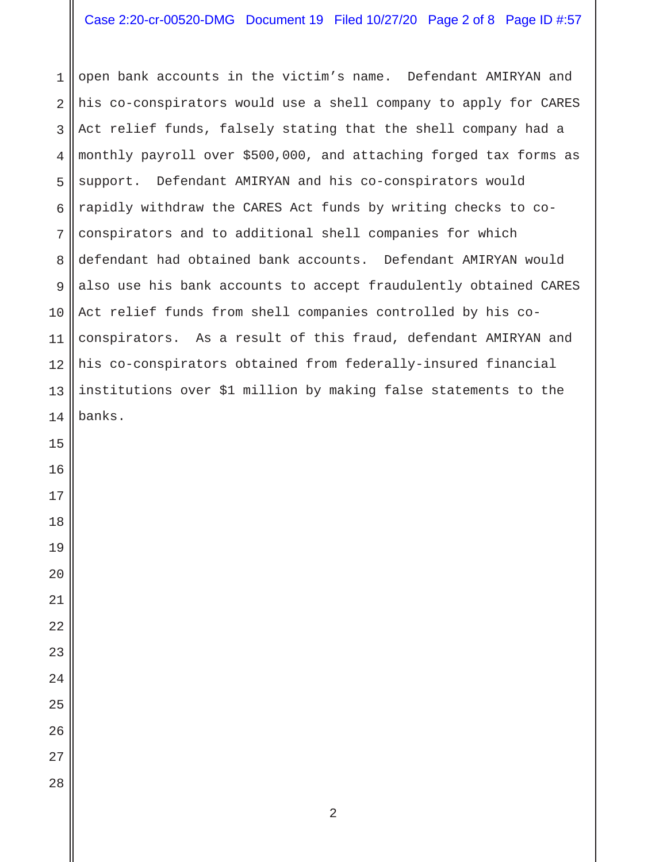open bank accounts in the victim's name. Defendant AMIRYAN and his co-conspirators would use a shell company to apply for CARES Act relief funds, falsely stating that the shell company had a monthly payroll over \$500,000, and attaching forged tax forms as support. Defendant AMIRYAN and his co-conspirators would rapidly withdraw the CARES Act funds by writing checks to coconspirators and to additional shell companies for which defendant had obtained bank accounts. Defendant AMIRYAN would also use his bank accounts to accept fraudulently obtained CARES Act relief funds from shell companies controlled by his coconspirators. As a result of this fraud, defendant AMIRYAN and his co-conspirators obtained from federally-insured financial institutions over \$1 million by making false statements to the banks.

- 
-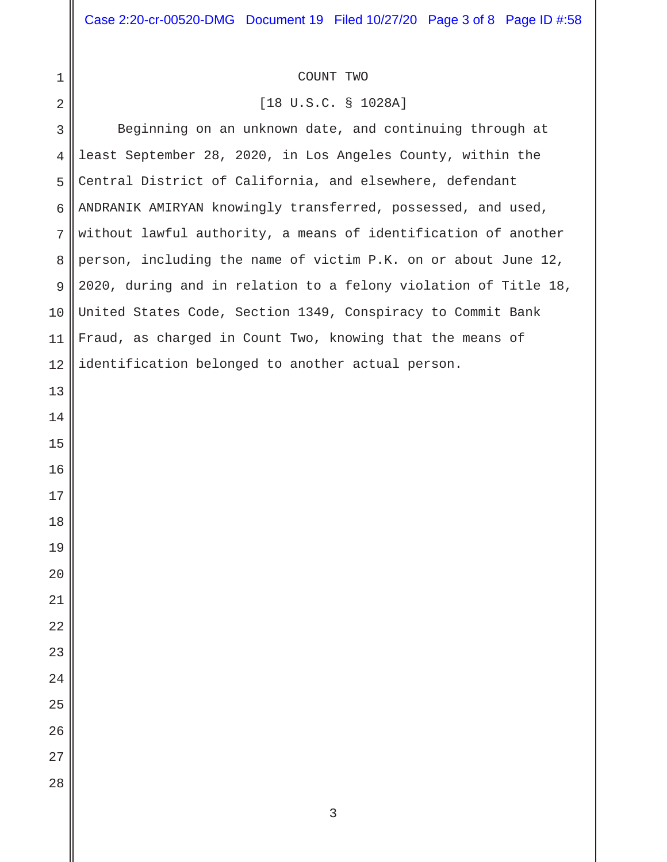## COUNT TWO

## [18 U.S.C. § 1028A]

 Beginning on an unknown date, and continuing through at least September 28, 2020, in Los Angeles County, within the Central District of California, and elsewhere, defendant ANDRANIK AMIRYAN knowingly transferred, possessed, and used, without lawful authority, a means of identification of another person, including the name of victim P.K. on or about June 12, 2020, during and in relation to a felony violation of Title 18, United States Code, Section 1349, Conspiracy to Commit Bank Fraud, as charged in Count Two, knowing that the means of identification belonged to another actual person.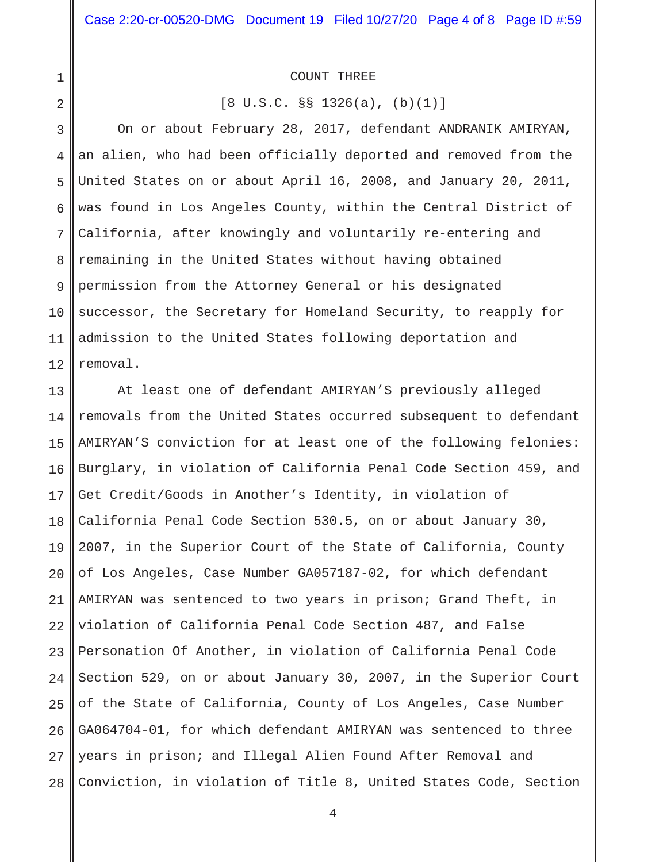## COUNT THREE

1

2

[8 U.S.C. §§ 1326(a), (b)(1)]

3 4 5 6 7 8 9 10 11 12 On or about February 28, 2017, defendant ANDRANIK AMIRYAN, an alien, who had been officially deported and removed from the United States on or about April 16, 2008, and January 20, 2011, was found in Los Angeles County, within the Central District of California, after knowingly and voluntarily re-entering and remaining in the United States without having obtained permission from the Attorney General or his designated successor, the Secretary for Homeland Security, to reapply for admission to the United States following deportation and removal.

13 14 15 16 17 18 19 20 21 22 23 24 25 26 27 28 At least one of defendant AMIRYAN'S previously alleged removals from the United States occurred subsequent to defendant AMIRYAN'S conviction for at least one of the following felonies: Burglary, in violation of California Penal Code Section 459, and Get Credit/Goods in Another's Identity, in violation of California Penal Code Section 530.5, on or about January 30, 2007, in the Superior Court of the State of California, County of Los Angeles, Case Number GA057187-02, for which defendant AMIRYAN was sentenced to two years in prison; Grand Theft, in violation of California Penal Code Section 487, and False Personation Of Another, in violation of California Penal Code Section 529, on or about January 30, 2007, in the Superior Court of the State of California, County of Los Angeles, Case Number GA064704-01, for which defendant AMIRYAN was sentenced to three years in prison; and Illegal Alien Found After Removal and Conviction, in violation of Title 8, United States Code, Section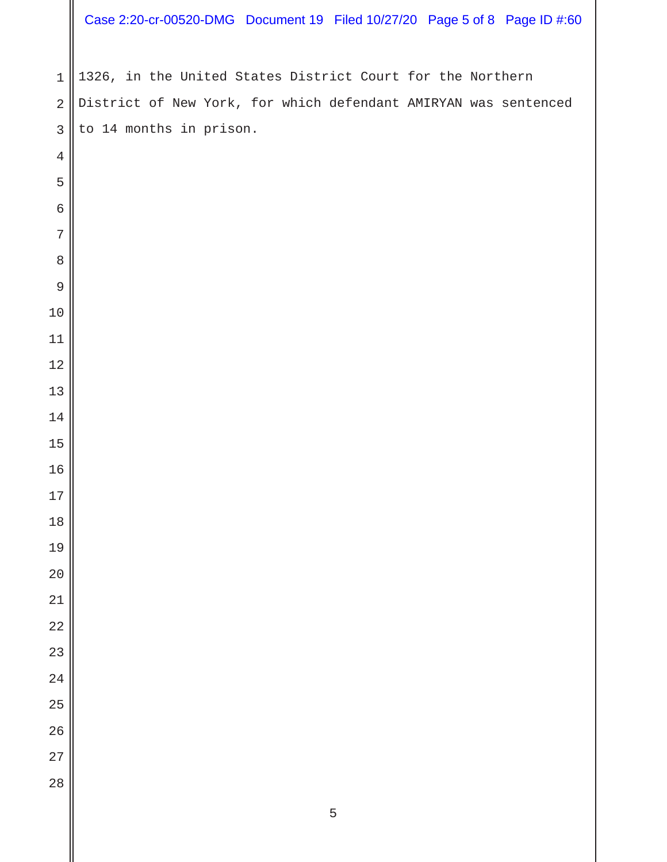## Case 2:20-cr-00520-DMG Document 19 Filed 10/27/20 Page 5 of 8 Page ID #:60

 1326, in the United States District Court for the Northern District of New York, for which defendant AMIRYAN was sentenced to 14 months in prison.

| 2              |  |
|----------------|--|
| 3              |  |
| $\overline{4}$ |  |
| 5              |  |
| $\epsilon$     |  |
| 7              |  |
| 8              |  |
| 9              |  |
| 10             |  |
| 11             |  |
| 12             |  |
| 13             |  |
| 14             |  |
| 15             |  |
| 16             |  |
| 17             |  |
| 18             |  |
| 19             |  |
| 20             |  |
| 21             |  |
| 22             |  |
| 2<br>3         |  |
| 24             |  |
| 25             |  |
| 26             |  |
| 27             |  |
| 28             |  |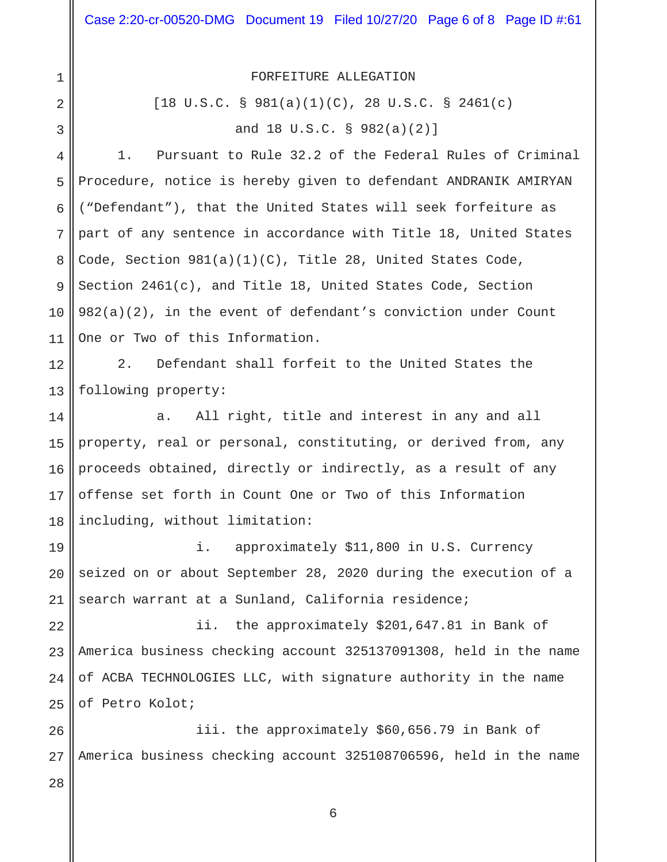FORFEITURE ALLEGATION

[18 U.S.C. § 981(a)(1)(C), 28 U.S.C. § 2461(c) and 18 U.S.C. § 982(a)(2)]

4 5 6 7 8 9 10 11 1. Pursuant to Rule 32.2 of the Federal Rules of Criminal Procedure, notice is hereby given to defendant ANDRANIK AMIRYAN ("Defendant"), that the United States will seek forfeiture as part of any sentence in accordance with Title 18, United States Code, Section 981(a)(1)(C), Title 28, United States Code, Section 2461(c), and Title 18, United States Code, Section 982(a)(2), in the event of defendant's conviction under Count One or Two of this Information.

12 13 2. Defendant shall forfeit to the United States the following property:

14 15 16 17 18 a. All right, title and interest in any and all property, real or personal, constituting, or derived from, any proceeds obtained, directly or indirectly, as a result of any offense set forth in Count One or Two of this Information including, without limitation:

19 20 21 i. approximately \$11,800 in U.S. Currency seized on or about September 28, 2020 during the execution of a search warrant at a Sunland, California residence;

22 23 24 25 ii. the approximately \$201,647.81 in Bank of America business checking account 325137091308, held in the name of ACBA TECHNOLOGIES LLC, with signature authority in the name of Petro Kolot;

26 27 iii. the approximately \$60,656.79 in Bank of America business checking account 325108706596, held in the name

28

1

2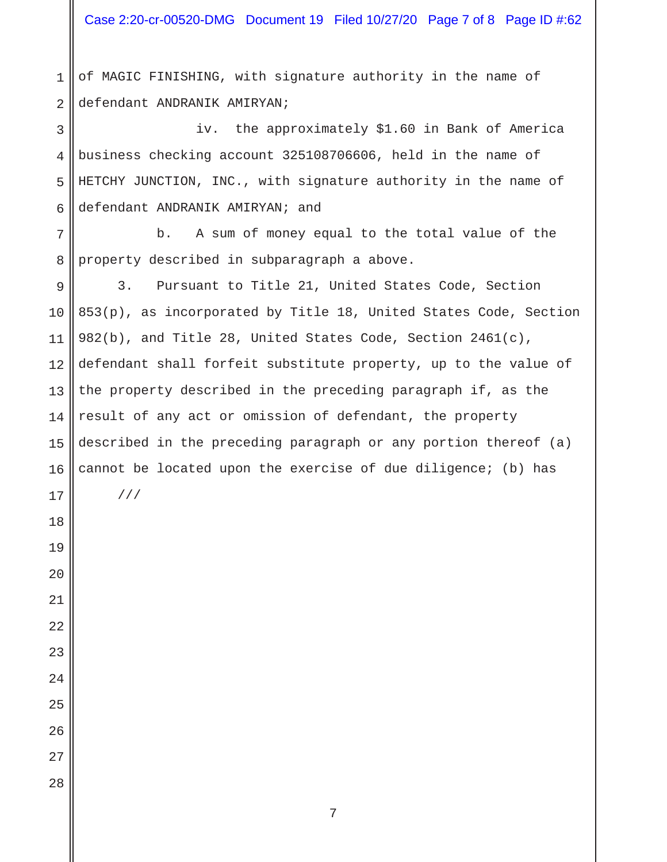Case 2:20-cr-00520-DMG Document 19 Filed 10/27/20 Page 7 of 8 Page ID #:62

 of MAGIC FINISHING, with signature authority in the name of defendant ANDRANIK AMIRYAN;

 iv. the approximately \$1.60 in Bank of America business checking account 325108706606, held in the name of HETCHY JUNCTION, INC., with signature authority in the name of defendant ANDRANIK AMIRYAN; and

 b. A sum of money equal to the total value of the property described in subparagraph a above.

 3. Pursuant to Title 21, United States Code, Section 853(p), as incorporated by Title 18, United States Code, Section 982(b), and Title 28, United States Code, Section 2461(c), defendant shall forfeit substitute property, up to the value of the property described in the preceding paragraph if, as the result of any act or omission of defendant, the property described in the preceding paragraph or any portion thereof (a) cannot be located upon the exercise of due diligence; (b) has

///